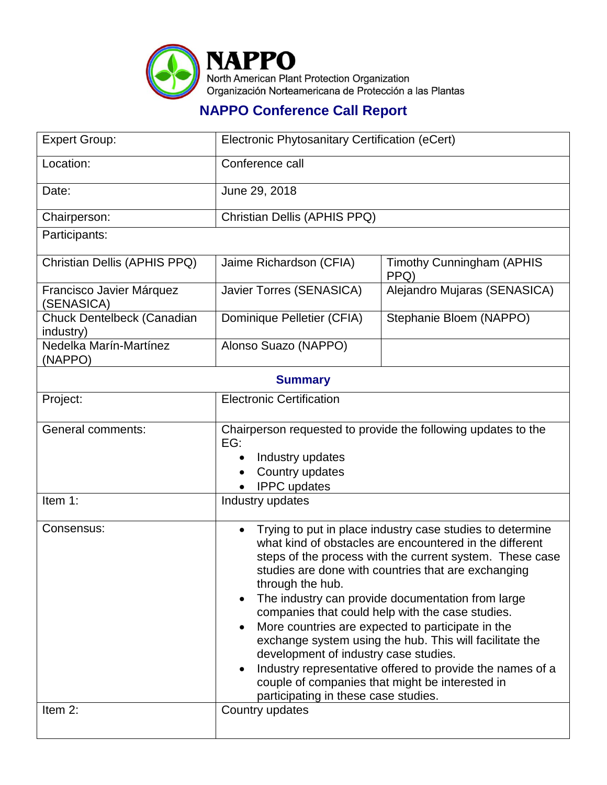

## **NAPPO Conference Call Report**

| <b>Expert Group:</b>                    | Electronic Phytosanitary Certification (eCert)                                                                                                                                                                                                                                                                                                                                                                                                                                                                                                                                                                                                                                                     |                                          |  |  |
|-----------------------------------------|----------------------------------------------------------------------------------------------------------------------------------------------------------------------------------------------------------------------------------------------------------------------------------------------------------------------------------------------------------------------------------------------------------------------------------------------------------------------------------------------------------------------------------------------------------------------------------------------------------------------------------------------------------------------------------------------------|------------------------------------------|--|--|
| Location:                               | Conference call                                                                                                                                                                                                                                                                                                                                                                                                                                                                                                                                                                                                                                                                                    |                                          |  |  |
| Date:                                   | June 29, 2018                                                                                                                                                                                                                                                                                                                                                                                                                                                                                                                                                                                                                                                                                      |                                          |  |  |
| Chairperson:                            | Christian Dellis (APHIS PPQ)                                                                                                                                                                                                                                                                                                                                                                                                                                                                                                                                                                                                                                                                       |                                          |  |  |
| Participants:                           |                                                                                                                                                                                                                                                                                                                                                                                                                                                                                                                                                                                                                                                                                                    |                                          |  |  |
| Christian Dellis (APHIS PPQ)            | Jaime Richardson (CFIA)                                                                                                                                                                                                                                                                                                                                                                                                                                                                                                                                                                                                                                                                            | <b>Timothy Cunningham (APHIS</b><br>PPQ) |  |  |
| Francisco Javier Márquez<br>(SENASICA)  | Javier Torres (SENASICA)                                                                                                                                                                                                                                                                                                                                                                                                                                                                                                                                                                                                                                                                           | Alejandro Mujaras (SENASICA)             |  |  |
| Chuck Dentelbeck (Canadian<br>industry) | Dominique Pelletier (CFIA)                                                                                                                                                                                                                                                                                                                                                                                                                                                                                                                                                                                                                                                                         | Stephanie Bloem (NAPPO)                  |  |  |
| Nedelka Marín-Martínez<br>(NAPPO)       | Alonso Suazo (NAPPO)                                                                                                                                                                                                                                                                                                                                                                                                                                                                                                                                                                                                                                                                               |                                          |  |  |
| <b>Summary</b>                          |                                                                                                                                                                                                                                                                                                                                                                                                                                                                                                                                                                                                                                                                                                    |                                          |  |  |
| Project:                                | <b>Electronic Certification</b>                                                                                                                                                                                                                                                                                                                                                                                                                                                                                                                                                                                                                                                                    |                                          |  |  |
| <b>General comments:</b>                | Chairperson requested to provide the following updates to the<br>EG:<br>Industry updates<br>Country updates<br><b>IPPC</b> updates                                                                                                                                                                                                                                                                                                                                                                                                                                                                                                                                                                 |                                          |  |  |
| Item 1:                                 | Industry updates                                                                                                                                                                                                                                                                                                                                                                                                                                                                                                                                                                                                                                                                                   |                                          |  |  |
| Consensus:                              | Trying to put in place industry case studies to determine<br>$\bullet$<br>what kind of obstacles are encountered in the different<br>steps of the process with the current system. These case<br>studies are done with countries that are exchanging<br>through the hub.<br>The industry can provide documentation from large<br>companies that could help with the case studies.<br>More countries are expected to participate in the<br>exchange system using the hub. This will facilitate the<br>development of industry case studies.<br>Industry representative offered to provide the names of a<br>couple of companies that might be interested in<br>participating in these case studies. |                                          |  |  |
| Item 2:                                 | Country updates                                                                                                                                                                                                                                                                                                                                                                                                                                                                                                                                                                                                                                                                                    |                                          |  |  |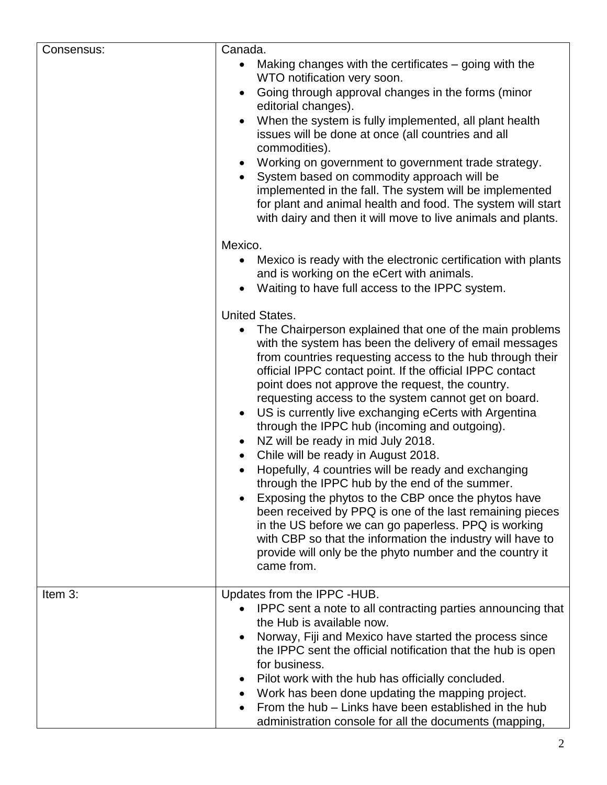| Consensus: | Canada.                                                                                                                                                                                                                                                                                                                                                                                                                                                                                                                                                                                                                                                                                                                                                                                                                                                                                                                                                                                                                                     |
|------------|---------------------------------------------------------------------------------------------------------------------------------------------------------------------------------------------------------------------------------------------------------------------------------------------------------------------------------------------------------------------------------------------------------------------------------------------------------------------------------------------------------------------------------------------------------------------------------------------------------------------------------------------------------------------------------------------------------------------------------------------------------------------------------------------------------------------------------------------------------------------------------------------------------------------------------------------------------------------------------------------------------------------------------------------|
|            | Making changes with the certificates $-$ going with the<br>WTO notification very soon.<br>Going through approval changes in the forms (minor<br>editorial changes).<br>When the system is fully implemented, all plant health<br>$\bullet$<br>issues will be done at once (all countries and all<br>commodities).<br>Working on government to government trade strategy.<br>$\bullet$<br>System based on commodity approach will be<br>implemented in the fall. The system will be implemented<br>for plant and animal health and food. The system will start<br>with dairy and then it will move to live animals and plants.                                                                                                                                                                                                                                                                                                                                                                                                               |
|            | Mexico.<br>Mexico is ready with the electronic certification with plants<br>and is working on the eCert with animals.<br>Waiting to have full access to the IPPC system.                                                                                                                                                                                                                                                                                                                                                                                                                                                                                                                                                                                                                                                                                                                                                                                                                                                                    |
|            | <b>United States.</b><br>The Chairperson explained that one of the main problems<br>with the system has been the delivery of email messages<br>from countries requesting access to the hub through their<br>official IPPC contact point. If the official IPPC contact<br>point does not approve the request, the country.<br>requesting access to the system cannot get on board.<br>US is currently live exchanging eCerts with Argentina<br>$\bullet$<br>through the IPPC hub (incoming and outgoing).<br>NZ will be ready in mid July 2018.<br>$\bullet$<br>Chile will be ready in August 2018.<br>$\bullet$<br>Hopefully, 4 countries will be ready and exchanging<br>through the IPPC hub by the end of the summer.<br>Exposing the phytos to the CBP once the phytos have<br>been received by PPQ is one of the last remaining pieces<br>in the US before we can go paperless. PPQ is working<br>with CBP so that the information the industry will have to<br>provide will only be the phyto number and the country it<br>came from. |
| Item 3:    | Updates from the IPPC -HUB.<br>IPPC sent a note to all contracting parties announcing that<br>the Hub is available now.<br>Norway, Fiji and Mexico have started the process since<br>the IPPC sent the official notification that the hub is open<br>for business.<br>Pilot work with the hub has officially concluded.<br>Work has been done updating the mapping project.<br>From the hub – Links have been established in the hub<br>administration console for all the documents (mapping,                                                                                                                                                                                                                                                                                                                                                                                                                                                                                                                                              |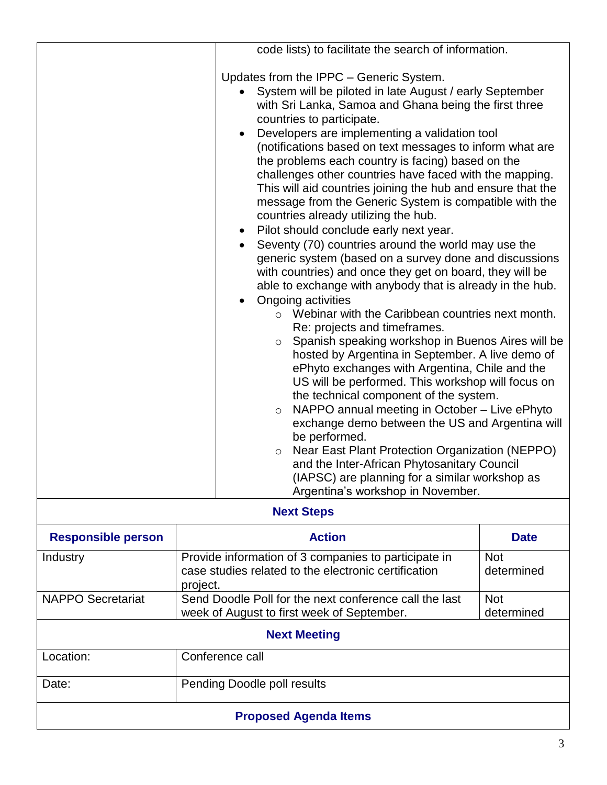|                              |                                                                                                                                                                                                                                                                                                                  | code lists) to facilitate the search of information.                                                                                                                                                                                                                                                                                                                                                                                                                                                                                                                                                                                                                                                                                                                                                                                                                                                                                                                                                                                                                                                                                                                                                                                                                                   |  |  |
|------------------------------|------------------------------------------------------------------------------------------------------------------------------------------------------------------------------------------------------------------------------------------------------------------------------------------------------------------|----------------------------------------------------------------------------------------------------------------------------------------------------------------------------------------------------------------------------------------------------------------------------------------------------------------------------------------------------------------------------------------------------------------------------------------------------------------------------------------------------------------------------------------------------------------------------------------------------------------------------------------------------------------------------------------------------------------------------------------------------------------------------------------------------------------------------------------------------------------------------------------------------------------------------------------------------------------------------------------------------------------------------------------------------------------------------------------------------------------------------------------------------------------------------------------------------------------------------------------------------------------------------------------|--|--|
|                              | Updates from the IPPC - Generic System.<br>countries to participate.<br>countries already utilizing the hub.<br>Pilot should conclude early next year.<br>$\bullet$<br>Ongoing activities<br>Re: projects and timeframes.<br>$\circ$<br>$\circ$<br>be performed.<br>$\circ$<br>Argentina's workshop in November. | System will be piloted in late August / early September<br>with Sri Lanka, Samoa and Ghana being the first three<br>Developers are implementing a validation tool<br>(notifications based on text messages to inform what are<br>the problems each country is facing) based on the<br>challenges other countries have faced with the mapping.<br>This will aid countries joining the hub and ensure that the<br>message from the Generic System is compatible with the<br>Seventy (70) countries around the world may use the<br>generic system (based on a survey done and discussions<br>with countries) and once they get on board, they will be<br>able to exchange with anybody that is already in the hub.<br>Webinar with the Caribbean countries next month.<br>Spanish speaking workshop in Buenos Aires will be<br>hosted by Argentina in September. A live demo of<br>ePhyto exchanges with Argentina, Chile and the<br>US will be performed. This workshop will focus on<br>the technical component of the system.<br>NAPPO annual meeting in October - Live ePhyto<br>exchange demo between the US and Argentina will<br>Near East Plant Protection Organization (NEPPO)<br>and the Inter-African Phytosanitary Council<br>(IAPSC) are planning for a similar workshop as |  |  |
| <b>Next Steps</b>            |                                                                                                                                                                                                                                                                                                                  |                                                                                                                                                                                                                                                                                                                                                                                                                                                                                                                                                                                                                                                                                                                                                                                                                                                                                                                                                                                                                                                                                                                                                                                                                                                                                        |  |  |
| <b>Responsible person</b>    | <b>Action</b>                                                                                                                                                                                                                                                                                                    | <b>Date</b>                                                                                                                                                                                                                                                                                                                                                                                                                                                                                                                                                                                                                                                                                                                                                                                                                                                                                                                                                                                                                                                                                                                                                                                                                                                                            |  |  |
| Industry                     | Provide information of 3 companies to participate in<br>case studies related to the electronic certification<br>project.                                                                                                                                                                                         | <b>Not</b><br>determined                                                                                                                                                                                                                                                                                                                                                                                                                                                                                                                                                                                                                                                                                                                                                                                                                                                                                                                                                                                                                                                                                                                                                                                                                                                               |  |  |
| <b>NAPPO Secretariat</b>     | Send Doodle Poll for the next conference call the last<br><b>Not</b><br>determined<br>week of August to first week of September.                                                                                                                                                                                 |                                                                                                                                                                                                                                                                                                                                                                                                                                                                                                                                                                                                                                                                                                                                                                                                                                                                                                                                                                                                                                                                                                                                                                                                                                                                                        |  |  |
| <b>Next Meeting</b>          |                                                                                                                                                                                                                                                                                                                  |                                                                                                                                                                                                                                                                                                                                                                                                                                                                                                                                                                                                                                                                                                                                                                                                                                                                                                                                                                                                                                                                                                                                                                                                                                                                                        |  |  |
| Location:                    | Conference call                                                                                                                                                                                                                                                                                                  |                                                                                                                                                                                                                                                                                                                                                                                                                                                                                                                                                                                                                                                                                                                                                                                                                                                                                                                                                                                                                                                                                                                                                                                                                                                                                        |  |  |
| Date:                        | Pending Doodle poll results                                                                                                                                                                                                                                                                                      |                                                                                                                                                                                                                                                                                                                                                                                                                                                                                                                                                                                                                                                                                                                                                                                                                                                                                                                                                                                                                                                                                                                                                                                                                                                                                        |  |  |
| <b>Proposed Agenda Items</b> |                                                                                                                                                                                                                                                                                                                  |                                                                                                                                                                                                                                                                                                                                                                                                                                                                                                                                                                                                                                                                                                                                                                                                                                                                                                                                                                                                                                                                                                                                                                                                                                                                                        |  |  |